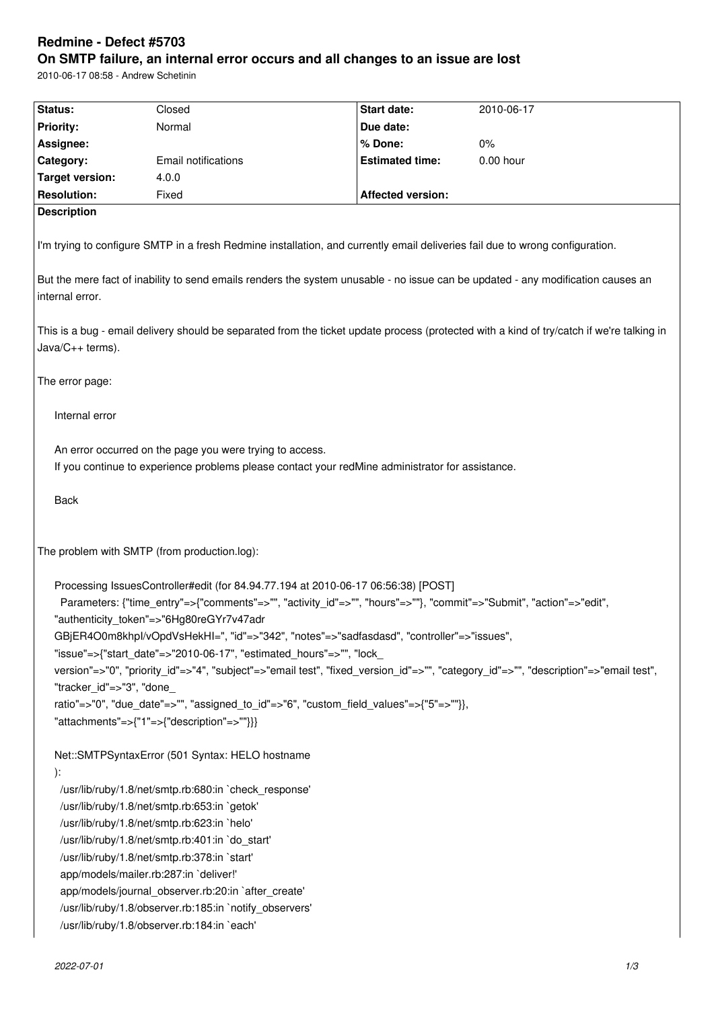# **Redmine - Defect #5703**

# **On SMTP failure, an internal error occurs and all changes to an issue are lost**

2010-06-17 08:58 - Andrew Schetinin

| Status:                                                                                                                                                                     | Closed                                       | Start date:              | 2010-06-17                                                                                                                       |  |
|-----------------------------------------------------------------------------------------------------------------------------------------------------------------------------|----------------------------------------------|--------------------------|----------------------------------------------------------------------------------------------------------------------------------|--|
| <b>Priority:</b>                                                                                                                                                            | Normal                                       | Due date:                |                                                                                                                                  |  |
| Assignee:                                                                                                                                                                   |                                              | % Done:                  | $0\%$                                                                                                                            |  |
| Category:                                                                                                                                                                   | Email notifications                          | <b>Estimated time:</b>   | 0.00 hour                                                                                                                        |  |
| <b>Target version:</b>                                                                                                                                                      | 4.0.0                                        |                          |                                                                                                                                  |  |
| <b>Resolution:</b>                                                                                                                                                          | Fixed                                        | <b>Affected version:</b> |                                                                                                                                  |  |
| <b>Description</b>                                                                                                                                                          |                                              |                          |                                                                                                                                  |  |
| I'm trying to configure SMTP in a fresh Redmine installation, and currently email deliveries fail due to wrong configuration.                                               |                                              |                          |                                                                                                                                  |  |
| internal error.                                                                                                                                                             |                                              |                          | But the mere fact of inability to send emails renders the system unusable - no issue can be updated - any modification causes an |  |
| This is a bug - email delivery should be separated from the ticket update process (protected with a kind of try/catch if we're talking in<br>Java/C++ terms).               |                                              |                          |                                                                                                                                  |  |
| The error page:                                                                                                                                                             |                                              |                          |                                                                                                                                  |  |
| Internal error                                                                                                                                                              |                                              |                          |                                                                                                                                  |  |
| An error occurred on the page you were trying to access.<br>If you continue to experience problems please contact your redMine administrator for assistance.<br><b>Back</b> |                                              |                          |                                                                                                                                  |  |
|                                                                                                                                                                             | The problem with SMTP (from production.log): |                          |                                                                                                                                  |  |
| Processing IssuesController#edit (for 84.94.77.194 at 2010-06-17 06:56:38) [POST]                                                                                           |                                              |                          |                                                                                                                                  |  |
| Parameters: {"time_entry"=>{"comments"=>"", "activity_id"=>"", "hours"=>""}, "commit"=>"Submit", "action"=>"edit",                                                          |                                              |                          |                                                                                                                                  |  |
| "authenticity_token"=>"6Hg80reGYr7v47adr                                                                                                                                    |                                              |                          |                                                                                                                                  |  |
| GBjER4O0m8khpl/vOpdVsHekHI=", "id"=>"342", "notes"=>"sadfasdasd", "controller"=>"issues",                                                                                   |                                              |                          |                                                                                                                                  |  |
| "issue"=>{"start_date"=>"2010-06-17", "estimated_hours"=>"", "lock                                                                                                          |                                              |                          |                                                                                                                                  |  |
| version"=>"0", "priority_id"=>"4", "subject"=>"email test", "fixed_version_id"=>"", "category_id"=>"", "description"=>"email test",<br>"tracker id"=>"3", "done             |                                              |                          |                                                                                                                                  |  |
| ratio"=>"0", "due_date"=>"", "assigned_to_id"=>"6", "custom_field_values"=>{"5"=>""}},                                                                                      |                                              |                          |                                                                                                                                  |  |
|                                                                                                                                                                             | "attachments"=>{"1"=>{"description"=>""}}}   |                          |                                                                                                                                  |  |
| Net::SMTPSyntaxError (501 Syntax: HELO hostname                                                                                                                             |                                              |                          |                                                                                                                                  |  |
| ):                                                                                                                                                                          |                                              |                          |                                                                                                                                  |  |
| /usr/lib/ruby/1.8/net/smtp.rb:680:in `check_response'                                                                                                                       |                                              |                          |                                                                                                                                  |  |
| /usr/lib/ruby/1.8/net/smtp.rb:653:in `getok'                                                                                                                                |                                              |                          |                                                                                                                                  |  |
| /usr/lib/ruby/1.8/net/smtp.rb:623:in `helo'                                                                                                                                 |                                              |                          |                                                                                                                                  |  |
| /usr/lib/ruby/1.8/net/smtp.rb:401:in `do_start'                                                                                                                             |                                              |                          |                                                                                                                                  |  |
| /usr/lib/ruby/1.8/net/smtp.rb:378:in `start'                                                                                                                                |                                              |                          |                                                                                                                                  |  |
| app/models/mailer.rb:287:in `deliver!'                                                                                                                                      |                                              |                          |                                                                                                                                  |  |
| app/models/journal_observer.rb:20:in `after_create'                                                                                                                         |                                              |                          |                                                                                                                                  |  |
| /usr/lib/ruby/1.8/observer.rb:185:in `notify_observers'                                                                                                                     |                                              |                          |                                                                                                                                  |  |
| /usr/lib/ruby/1.8/observer.rb:184:in `each'                                                                                                                                 |                                              |                          |                                                                                                                                  |  |
|                                                                                                                                                                             |                                              |                          |                                                                                                                                  |  |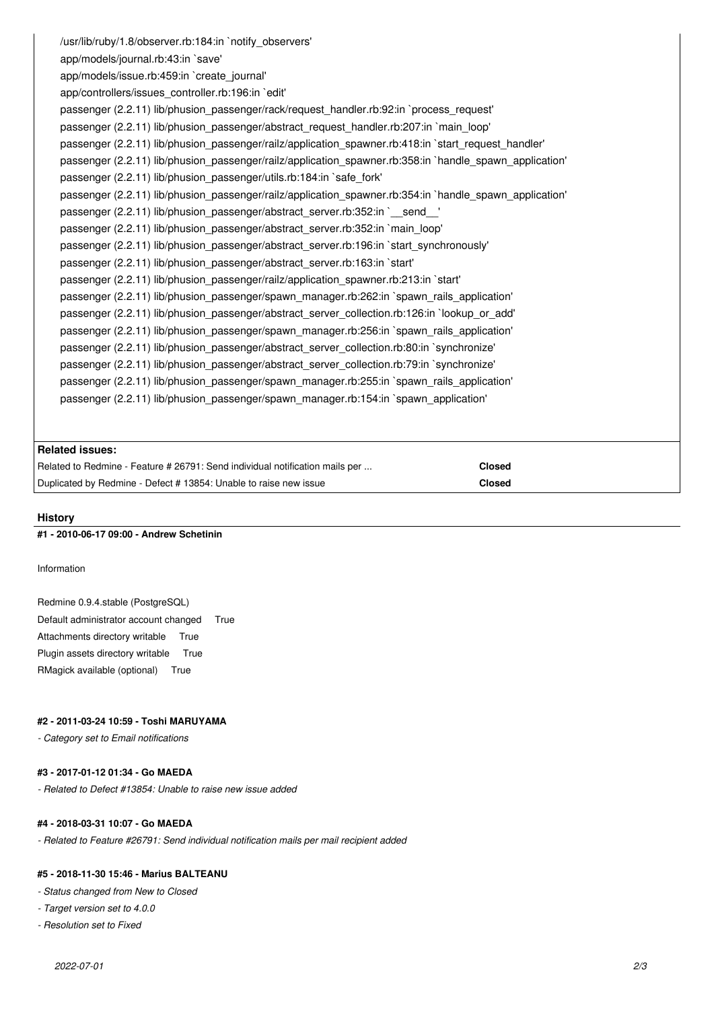/usr/lib/ruby/1.8/observer.rb:184:in `notify\_observers' app/models/journal.rb:43:in `save' app/models/issue.rb:459:in `create\_journal' app/controllers/issues\_controller.rb:196:in `edit' passenger (2.2.11) lib/phusion\_passenger/rack/request\_handler.rb:92:in `process\_request' passenger (2.2.11) lib/phusion\_passenger/abstract\_request\_handler.rb:207:in `main\_loop' passenger (2.2.11) lib/phusion\_passenger/railz/application\_spawner.rb:418:in `start\_request\_handler' passenger (2.2.11) lib/phusion\_passenger/railz/application\_spawner.rb:358:in `handle\_spawn\_application' passenger (2.2.11) lib/phusion\_passenger/utils.rb:184:in `safe\_fork' passenger (2.2.11) lib/phusion\_passenger/railz/application\_spawner.rb:354:in `handle\_spawn\_application' passenger (2.2.11) lib/phusion\_passenger/abstract\_server.rb:352:in `\_\_send\_\_' passenger (2.2.11) lib/phusion\_passenger/abstract\_server.rb:352:in `main\_loop' passenger (2.2.11) lib/phusion\_passenger/abstract\_server.rb:196:in `start\_synchronously' passenger (2.2.11) lib/phusion\_passenger/abstract\_server.rb:163:in `start' passenger (2.2.11) lib/phusion\_passenger/railz/application\_spawner.rb:213:in `start' passenger (2.2.11) lib/phusion\_passenger/spawn\_manager.rb:262:in `spawn\_rails\_application' passenger (2.2.11) lib/phusion\_passenger/abstract\_server\_collection.rb:126:in `lookup\_or\_add' passenger (2.2.11) lib/phusion\_passenger/spawn\_manager.rb:256:in `spawn\_rails\_application' passenger (2.2.11) lib/phusion\_passenger/abstract\_server\_collection.rb:80:in `synchronize' passenger (2.2.11) lib/phusion\_passenger/abstract\_server\_collection.rb:79:in `synchronize' passenger (2.2.11) lib/phusion\_passenger/spawn\_manager.rb:255:in `spawn\_rails\_application' passenger (2.2.11) lib/phusion\_passenger/spawn\_manager.rb:154:in `spawn\_application'

# **Related issues:**

| Related to Redmine - Feature # 26791: Send individual notification mails per | Closed |
|------------------------------------------------------------------------------|--------|
| Duplicated by Redmine - Defect # 13854: Unable to raise new issue            | Closed |

### **History**

# **#1 - 2010-06-17 09:00 - Andrew Schetinin**

Information

#### Redmine 0.9.4.stable (PostgreSQL)

Default administrator account changed True Attachments directory writable True Plugin assets directory writable True RMagick available (optional) True

#### **#2 - 2011-03-24 10:59 - Toshi MARUYAMA**

*- Category set to Email notifications*

# **#3 - 2017-01-12 01:34 - Go MAEDA**

*- Related to Defect #13854: Unable to raise new issue added*

#### **#4 - 2018-03-31 10:07 - Go MAEDA**

*- Related to Feature #26791: Send individual notification mails per mail recipient added*

#### **#5 - 2018-11-30 15:46 - Marius BALTEANU**

*- Status changed from New to Closed*

- *Target version set to 4.0.0*
- *Resolution set to Fixed*